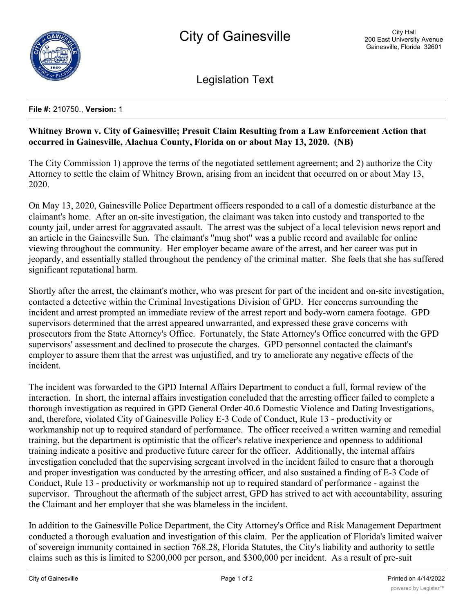

Legislation Text

## **File #:** 210750., **Version:** 1

## **Whitney Brown v. City of Gainesville; Presuit Claim Resulting from a Law Enforcement Action that occurred in Gainesville, Alachua County, Florida on or about May 13, 2020. (NB)**

The City Commission 1) approve the terms of the negotiated settlement agreement; and 2) authorize the City Attorney to settle the claim of Whitney Brown, arising from an incident that occurred on or about May 13, 2020.

On May 13, 2020, Gainesville Police Department officers responded to a call of a domestic disturbance at the claimant's home. After an on-site investigation, the claimant was taken into custody and transported to the county jail, under arrest for aggravated assault. The arrest was the subject of a local television news report and an article in the Gainesville Sun. The claimant's "mug shot" was a public record and available for online viewing throughout the community. Her employer became aware of the arrest, and her career was put in jeopardy, and essentially stalled throughout the pendency of the criminal matter. She feels that she has suffered significant reputational harm.

Shortly after the arrest, the claimant's mother, who was present for part of the incident and on-site investigation, contacted a detective within the Criminal Investigations Division of GPD. Her concerns surrounding the incident and arrest prompted an immediate review of the arrest report and body-worn camera footage. GPD supervisors determined that the arrest appeared unwarranted, and expressed these grave concerns with prosecutors from the State Attorney's Office. Fortunately, the State Attorney's Office concurred with the GPD supervisors' assessment and declined to prosecute the charges. GPD personnel contacted the claimant's employer to assure them that the arrest was unjustified, and try to ameliorate any negative effects of the incident.

The incident was forwarded to the GPD Internal Affairs Department to conduct a full, formal review of the interaction. In short, the internal affairs investigation concluded that the arresting officer failed to complete a thorough investigation as required in GPD General Order 40.6 Domestic Violence and Dating Investigations, and, therefore, violated City of Gainesville Policy E-3 Code of Conduct, Rule 13 - productivity or workmanship not up to required standard of performance. The officer received a written warning and remedial training, but the department is optimistic that the officer's relative inexperience and openness to additional training indicate a positive and productive future career for the officer. Additionally, the internal affairs investigation concluded that the supervising sergeant involved in the incident failed to ensure that a thorough and proper investigation was conducted by the arresting officer, and also sustained a finding of E-3 Code of Conduct, Rule 13 - productivity or workmanship not up to required standard of performance - against the supervisor. Throughout the aftermath of the subject arrest, GPD has strived to act with accountability, assuring the Claimant and her employer that she was blameless in the incident.

In addition to the Gainesville Police Department, the City Attorney's Office and Risk Management Department conducted a thorough evaluation and investigation of this claim. Per the application of Florida's limited waiver of sovereign immunity contained in section 768.28, Florida Statutes, the City's liability and authority to settle claims such as this is limited to \$200,000 per person, and \$300,000 per incident. As a result of pre-suit